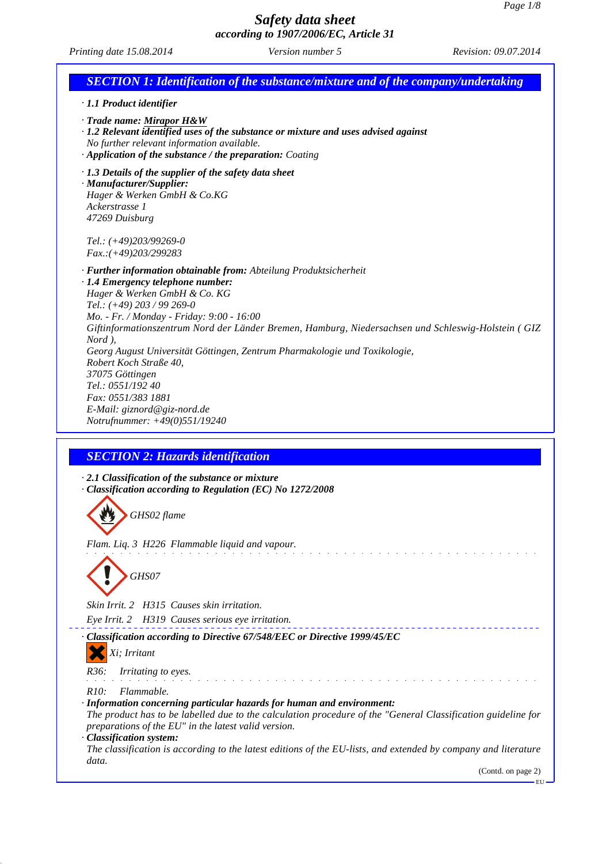*Printing date 15.08.2014 Version number 5 Revision: 09.07.2014*

| <b>SECTION 1: Identification of the substance/mixture and of the company/undertaking</b>                                                                                                                                                                                                                                                                                                                                                                                                                                                                                   |
|----------------------------------------------------------------------------------------------------------------------------------------------------------------------------------------------------------------------------------------------------------------------------------------------------------------------------------------------------------------------------------------------------------------------------------------------------------------------------------------------------------------------------------------------------------------------------|
| · 1.1 Product identifier                                                                                                                                                                                                                                                                                                                                                                                                                                                                                                                                                   |
| $\cdot$ Trade name: Mirapor H&W<br>$\cdot$ 1.2 Relevant identified uses of the substance or mixture and uses advised against<br>No further relevant information available.<br>· Application of the substance / the preparation: Coating                                                                                                                                                                                                                                                                                                                                    |
| $\cdot$ 1.3 Details of the supplier of the safety data sheet<br>· Manufacturer/Supplier:<br>Hager & Werken GmbH & Co.KG<br>Ackerstrasse 1<br>47269 Duisburg                                                                                                                                                                                                                                                                                                                                                                                                                |
| Tel.: $(+49)203/99269-0$<br>$Fax:(+49)203/299283$                                                                                                                                                                                                                                                                                                                                                                                                                                                                                                                          |
| · Further information obtainable from: Abteilung Produktsicherheit<br>· 1.4 Emergency telephone number:<br>Hager & Werken GmbH & Co. KG<br>Tel.: $(+49)$ 203 / 99 269-0<br>Mo. - Fr. / Monday - Friday: 9:00 - 16:00<br>Giftinformationszentrum Nord der Länder Bremen, Hamburg, Niedersachsen und Schleswig-Holstein (GIZ<br>Nord),<br>Georg August Universität Göttingen, Zentrum Pharmakologie und Toxikologie,<br>Robert Koch Straße 40,<br>37075 Göttingen<br>Tel.: 0551/192 40<br>Fax: 0551/383 1881<br>E-Mail: giznord@giz-nord.de<br>Notrufnummer: +49(0)551/19240 |
|                                                                                                                                                                                                                                                                                                                                                                                                                                                                                                                                                                            |
| <b>SECTION 2: Hazards identification</b>                                                                                                                                                                                                                                                                                                                                                                                                                                                                                                                                   |
| $\cdot$ 2.1 Classification of the substance or mixture<br>· Classification according to Regulation (EC) No 1272/2008                                                                                                                                                                                                                                                                                                                                                                                                                                                       |
| GHS02 flame                                                                                                                                                                                                                                                                                                                                                                                                                                                                                                                                                                |
| Flam. Liq. 3 H226 Flammable liquid and vapour.<br>GHS07                                                                                                                                                                                                                                                                                                                                                                                                                                                                                                                    |
| Skin Irrit. 2 H315 Causes skin irritation.                                                                                                                                                                                                                                                                                                                                                                                                                                                                                                                                 |
| Eye Irrit. 2 H319 Causes serious eye irritation.                                                                                                                                                                                                                                                                                                                                                                                                                                                                                                                           |
| Classification according to Directive 67/548/EEC or Directive 1999/45/EC<br>Xi; Irritant                                                                                                                                                                                                                                                                                                                                                                                                                                                                                   |
| R36:<br>Irritating to eyes.                                                                                                                                                                                                                                                                                                                                                                                                                                                                                                                                                |
| R <sub>10</sub> :<br>Flammable.<br>· Information concerning particular hazards for human and environment:<br>The product has to be labelled due to the calculation procedure of the "General Classification guideline for<br>preparations of the EU" in the latest valid version.                                                                                                                                                                                                                                                                                          |
| · Classification system:<br>The classification is according to the latest editions of the EU-lists, and extended by company and literature<br>data.                                                                                                                                                                                                                                                                                                                                                                                                                        |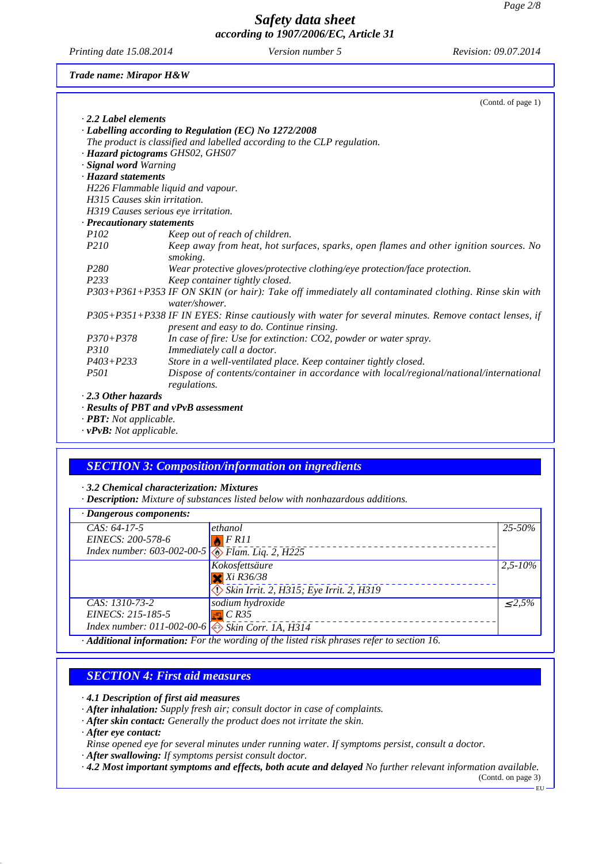*Printing date 15.08.2014 Version number 5 Revision: 09.07.2014*

*Trade name: Mirapor H&W*

|                              | (Contd. of page 1)                                                                                                                                 |
|------------------------------|----------------------------------------------------------------------------------------------------------------------------------------------------|
| $\cdot$ 2.2 Label elements   |                                                                                                                                                    |
|                              | · Labelling according to Regulation (EC) No 1272/2008                                                                                              |
|                              | The product is classified and labelled according to the CLP regulation.                                                                            |
|                              | · Hazard pictograms GHS02, GHS07                                                                                                                   |
| · Signal word Warning        |                                                                                                                                                    |
| · Hazard statements          |                                                                                                                                                    |
|                              | H226 Flammable liquid and vapour.                                                                                                                  |
| H315 Causes skin irritation. |                                                                                                                                                    |
|                              | H319 Causes serious eye irritation.                                                                                                                |
| · Precautionary statements   |                                                                                                                                                    |
| <i>P102</i>                  | Keep out of reach of children.                                                                                                                     |
| P <sub>210</sub>             | Keep away from heat, hot surfaces, sparks, open flames and other ignition sources. No<br>smoking.                                                  |
| P280                         | Wear protective gloves/protective clothing/eye protection/face protection.                                                                         |
| P233                         | Keep container tightly closed.                                                                                                                     |
|                              | P303+P361+P353 IF ON SKIN (or hair): Take off immediately all contaminated clothing. Rinse skin with<br>water/shower.                              |
|                              | P305+P351+P338 IF IN EYES: Rinse cautiously with water for several minutes. Remove contact lenses, if<br>present and easy to do. Continue rinsing. |
| $P370 + P378$                | In case of fire: Use for extinction: CO2, powder or water spray.                                                                                   |
| P310                         | Immediately call a doctor.                                                                                                                         |
| $P403 + P233$                | Store in a well-ventilated place. Keep container tightly closed.                                                                                   |
| <i>P501</i>                  | Dispose of contents/container in accordance with local/regional/national/international<br>regulations.                                             |
| $\cdot$ 2.3 Other hazards    |                                                                                                                                                    |
|                              |                                                                                                                                                    |
|                              | $\cdot$ Results of PBT and vPvB assessment                                                                                                         |

*· PBT: Not applicable.*

*· vPvB: Not applicable.*

#### *SECTION 3: Composition/information on ingredients*

*· 3.2 Chemical characterization: Mixtures*

*· Description: Mixture of substances listed below with nonhazardous additions.*

| $\cdot$ Dangerous components:                                                                                                     |                                         |              |  |
|-----------------------------------------------------------------------------------------------------------------------------------|-----------------------------------------|--------------|--|
| $CAS: 64-17-5$                                                                                                                    | ethanol                                 | 25-50%       |  |
| EINECS: 200-578-6                                                                                                                 | FRI1                                    |              |  |
| Index number: 603-002-00-5 $\circ$ Flam. Liq. 2, H225                                                                             |                                         |              |  |
|                                                                                                                                   | Kokosfettsäure                          | $2,5 - 10\%$ |  |
|                                                                                                                                   | $Xi$ R36/38                             |              |  |
|                                                                                                                                   | Skin Irrit. 2, H315; Eye Irrit. 2, H319 |              |  |
| CAS: 1310-73-2                                                                                                                    | sodium hydroxide                        | $\leq 2.5\%$ |  |
| EINECS: 215-185-5                                                                                                                 | $\frac{1}{2}$ C R35                     |              |  |
| Index number: 011-002-00-6 $\overline{\text{ }8\text{ }8\text{ }8\text{ }8\text{ }6\text{ }7\text{ }7\text{ }7\text{ }1}$ A, H314 |                                         |              |  |
| Additional information: For the wording of the listed risk phrases refer to section 16.                                           |                                         |              |  |

#### *SECTION 4: First aid measures*

*· 4.1 Description of first aid measures*

*· After inhalation: Supply fresh air; consult doctor in case of complaints.*

*· After skin contact: Generally the product does not irritate the skin.*

*· After eye contact:*

*Rinse opened eye for several minutes under running water. If symptoms persist, consult a doctor.*

*· After swallowing: If symptoms persist consult doctor.*

*· 4.2 Most important symptoms and effects, both acute and delayed No further relevant information available.*

(Contd. on page 3) EU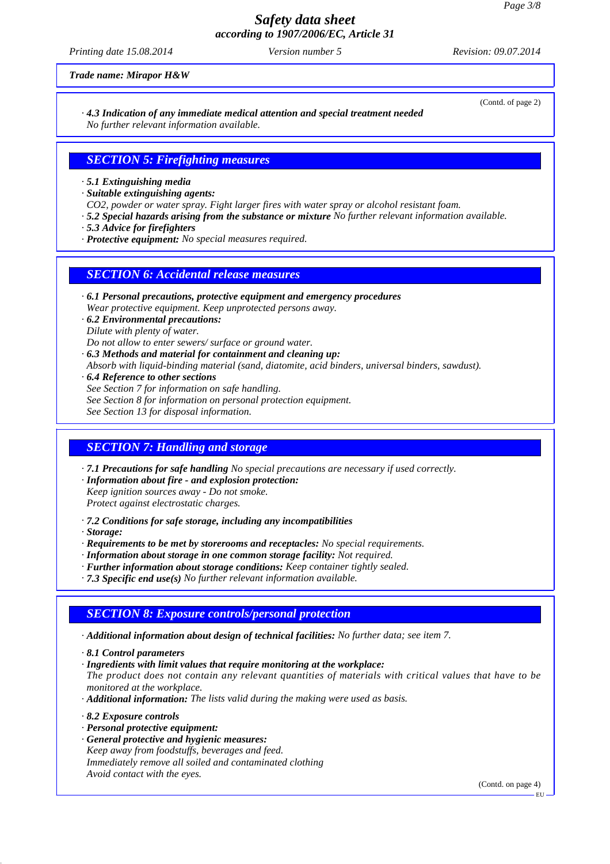*Printing date 15.08.2014 Version number 5 Revision: 09.07.2014*

*Trade name: Mirapor H&W*

(Contd. of page 2)

*· 4.3 Indication of any immediate medical attention and special treatment needed No further relevant information available.*

## *SECTION 5: Firefighting measures*

*· 5.1 Extinguishing media*

*· Suitable extinguishing agents:*

*CO2, powder or water spray. Fight larger fires with water spray or alcohol resistant foam.*

- *· 5.2 Special hazards arising from the substance or mixture No further relevant information available.*
- *· 5.3 Advice for firefighters*
- *· Protective equipment: No special measures required.*

#### *SECTION 6: Accidental release measures*

- *· 6.1 Personal precautions, protective equipment and emergency procedures Wear protective equipment. Keep unprotected persons away.*
- *· 6.2 Environmental precautions: Dilute with plenty of water. Do not allow to enter sewers/ surface or ground water.*
- *· 6.3 Methods and material for containment and cleaning up: Absorb with liquid-binding material (sand, diatomite, acid binders, universal binders, sawdust).*
- *· 6.4 Reference to other sections See Section 7 for information on safe handling. See Section 8 for information on personal protection equipment.*
- *See Section 13 for disposal information.*

## *SECTION 7: Handling and storage*

*· 7.1 Precautions for safe handling No special precautions are necessary if used correctly.*

- *· Information about fire and explosion protection:*
- *Keep ignition sources away Do not smoke.*

*Protect against electrostatic charges.*

- *· 7.2 Conditions for safe storage, including any incompatibilities*
- *· Storage:*
- *· Requirements to be met by storerooms and receptacles: No special requirements.*
- *· Information about storage in one common storage facility: Not required.*
- *· Further information about storage conditions: Keep container tightly sealed.*
- *· 7.3 Specific end use(s) No further relevant information available.*

## *SECTION 8: Exposure controls/personal protection*

- *· Additional information about design of technical facilities: No further data; see item 7.*
- *· 8.1 Control parameters*
- *· Ingredients with limit values that require monitoring at the workplace:*
- *The product does not contain any relevant quantities of materials with critical values that have to be monitored at the workplace.*
- *· Additional information: The lists valid during the making were used as basis.*
- *· 8.2 Exposure controls*
- *· Personal protective equipment:*
- *· General protective and hygienic measures: Keep away from foodstuffs, beverages and feed. Immediately remove all soiled and contaminated clothing Avoid contact with the eyes.*

(Contd. on page 4)

EU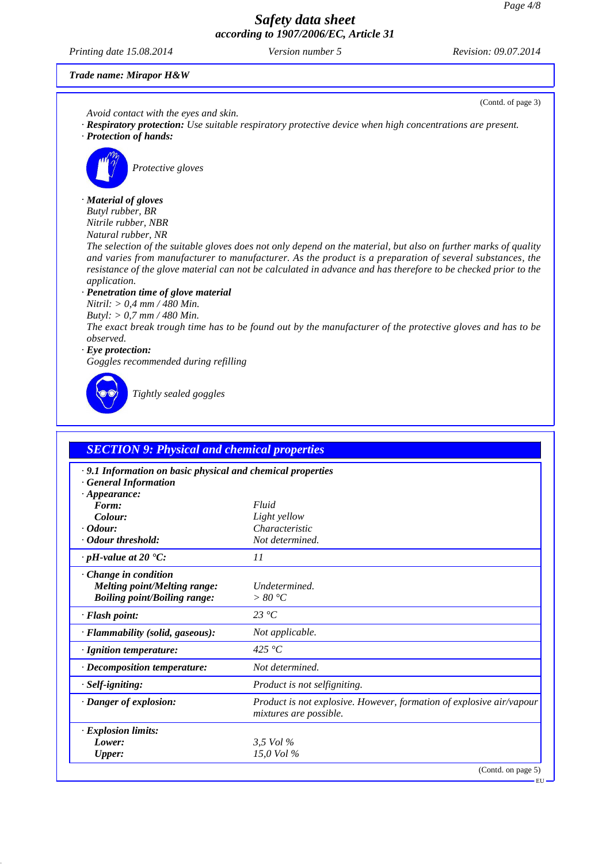*Printing date 15.08.2014 Version number 5 Revision: 09.07.2014*

(Contd. of page 3)

EU

#### *Trade name: Mirapor H&W*

*Avoid contact with the eyes and skin.*

- *· Respiratory protection: Use suitable respiratory protective device when high concentrations are present.*
- *· Protection of hands:*



*Protective gloves*

#### *· Material of gloves*

*Butyl rubber, BR Nitrile rubber, NBR*

*Natural rubber, NR*

*The selection of the suitable gloves does not only depend on the material, but also on further marks of quality and varies from manufacturer to manufacturer. As the product is a preparation of several substances, the resistance of the glove material can not be calculated in advance and has therefore to be checked prior to the application.*

#### *· Penetration time of glove material*

*Nitril: > 0,4 mm / 480 Min.*

*Butyl: > 0,7 mm / 480 Min.*

*The exact break trough time has to be found out by the manufacturer of the protective gloves and has to be observed.*

#### *· Eye protection:*

*Goggles recommended during refilling*



*Tightly sealed goggles*

| <b>SECTION 9: Physical and chemical properties</b>                                                              |                                                                                                       |  |
|-----------------------------------------------------------------------------------------------------------------|-------------------------------------------------------------------------------------------------------|--|
| .9.1 Information on basic physical and chemical properties<br><b>General Information</b><br>$\cdot$ Appearance: |                                                                                                       |  |
| Form:                                                                                                           | Fluid                                                                                                 |  |
| Colour:                                                                                                         | Light yellow                                                                                          |  |
| $\cdot$ Odour:                                                                                                  | Characteristic                                                                                        |  |
| Odour threshold:                                                                                                | Not determined.                                                                                       |  |
| $\cdot$ pH-value at 20 $\textdegree$ C:                                                                         | 11                                                                                                    |  |
| Change in condition<br><b>Melting point/Melting range:</b><br><b>Boiling point/Boiling range:</b>               | Undetermined.<br>> 80 °C                                                                              |  |
| · Flash point:                                                                                                  | $23 \text{°C}$                                                                                        |  |
| · Flammability (solid, gaseous):                                                                                | Not applicable.                                                                                       |  |
| · Ignition temperature:                                                                                         | 425 °C                                                                                                |  |
| $\cdot$ Decomposition temperature:                                                                              | Not determined.                                                                                       |  |
| · Self-igniting:                                                                                                | Product is not selfigniting.                                                                          |  |
| · Danger of explosion:                                                                                          | <i>Product is not explosive. However, formation of explosive air/vapour</i><br>mixtures are possible. |  |
| <b>Explosion limits:</b>                                                                                        |                                                                                                       |  |
| Lower:                                                                                                          | 3.5 Vol $\%$                                                                                          |  |
| <b>Upper:</b>                                                                                                   | 15,0 Vol %                                                                                            |  |
|                                                                                                                 | (Contd. on page 5)                                                                                    |  |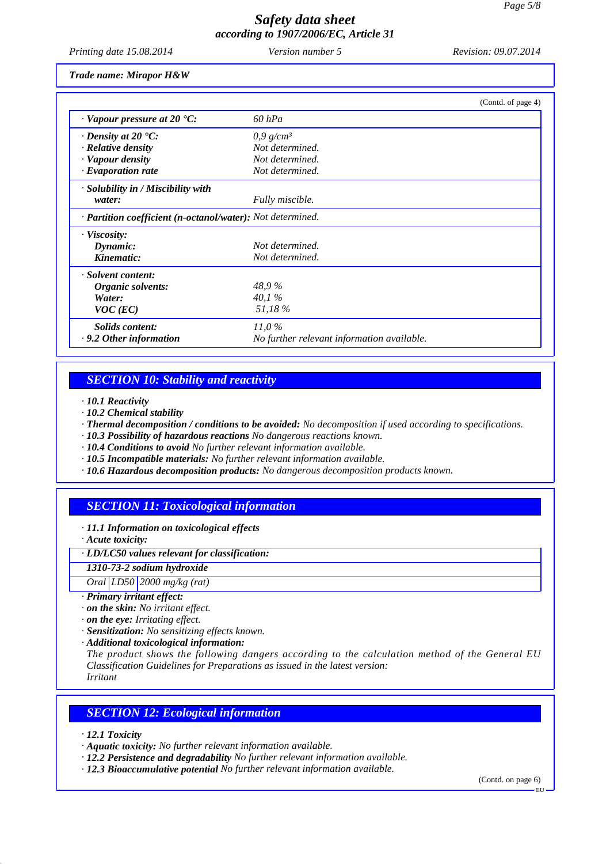*Printing date 15.08.2014 Version number 5 Revision: 09.07.2014*

*Trade name: Mirapor H&W*

|                                                                         |                                            | (Contd. of page 4) |
|-------------------------------------------------------------------------|--------------------------------------------|--------------------|
| $\cdot$ Vapour pressure at 20 $\cdot$ C:                                | $60$ hPa                                   |                    |
| $\cdot$ Density at 20 $\cdot$ C:                                        | $0.9$ g/cm <sup>3</sup>                    |                    |
| · Relative density                                                      | Not determined.                            |                    |
| · Vapour density                                                        | Not determined.                            |                    |
| $\cdot$ Evaporation rate                                                | Not determined.                            |                    |
| $\cdot$ Solubility in / Miscibility with                                |                                            |                    |
| water:                                                                  | Fully miscible.                            |                    |
| $\cdot$ <b>Partition coefficient (n-octanol/water):</b> Not determined. |                                            |                    |
| · Viscosity:                                                            |                                            |                    |
| Dynamic:                                                                | Not determined.                            |                    |
| Kinematic:                                                              | Not determined.                            |                    |
| · Solvent content:                                                      |                                            |                    |
| Organic solvents:                                                       | 48,9%                                      |                    |
| Water:                                                                  | 40.1%                                      |                    |
| $VOC$ (EC)                                                              | 51,18%                                     |                    |
| Solids content:                                                         | $11.0\%$                                   |                    |
| $\cdot$ 9.2 Other information                                           | No further relevant information available. |                    |

## *SECTION 10: Stability and reactivity*

*· 10.1 Reactivity*

- *· 10.2 Chemical stability*
- *· Thermal decomposition / conditions to be avoided: No decomposition if used according to specifications.*
- *· 10.3 Possibility of hazardous reactions No dangerous reactions known.*
- *· 10.4 Conditions to avoid No further relevant information available.*
- *· 10.5 Incompatible materials: No further relevant information available.*
- *· 10.6 Hazardous decomposition products: No dangerous decomposition products known.*

## *SECTION 11: Toxicological information*

*· 11.1 Information on toxicological effects*

*· Acute toxicity:*

*· LD/LC50 values relevant for classification:*

*1310-73-2 sodium hydroxide*

*Oral LD50 2000 mg/kg (rat)*

- *· Primary irritant effect:*
- *· on the skin: No irritant effect.*
- *· on the eye: Irritating effect.*
- *· Sensitization: No sensitizing effects known.*

*· Additional toxicological information:*

*The product shows the following dangers according to the calculation method of the General EU Classification Guidelines for Preparations as issued in the latest version:*

*Irritant*

## *SECTION 12: Ecological information*

*· 12.1 Toxicity*

- *· Aquatic toxicity: No further relevant information available.*
- *· 12.2 Persistence and degradability No further relevant information available.*
- *· 12.3 Bioaccumulative potential No further relevant information available.*

(Contd. on page 6)

EU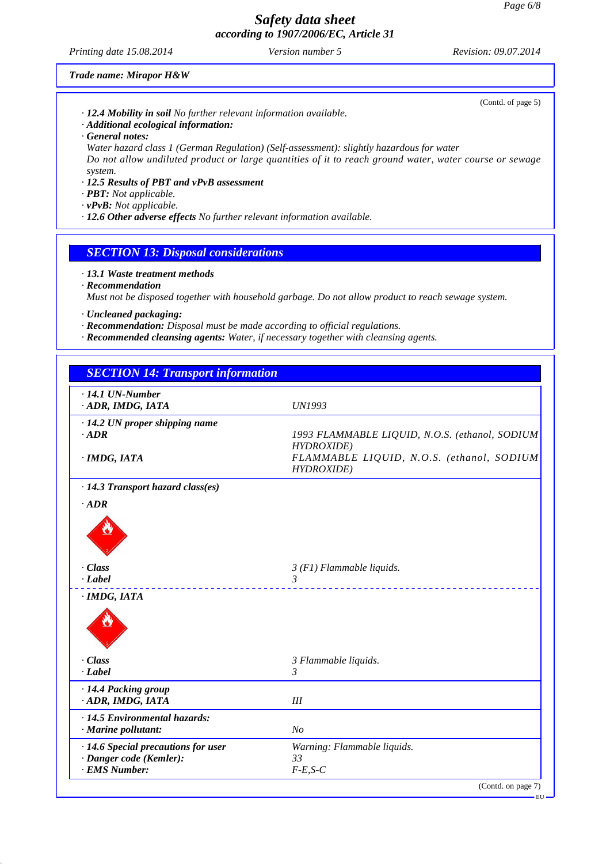*Printing date 15.08.2014 Version number 5 Revision: 09.07.2014*

(Contd. of page 5)

*Trade name: Mirapor H&W*

- *· 12.4 Mobility in soil No further relevant information available.*
- *· Additional ecological information:*
- *· General notes:*

*Water hazard class 1 (German Regulation) (Self-assessment): slightly hazardous for water Do not allow undiluted product or large quantities of it to reach ground water, water course or sewage system.*

- *· 12.5 Results of PBT and vPvB assessment*
- *· PBT: Not applicable.*

*· vPvB: Not applicable.*

*· 12.6 Other adverse effects No further relevant information available.*

## *SECTION 13: Disposal considerations*

- *· 13.1 Waste treatment methods*
- *· Recommendation*

*Must not be disposed together with household garbage. Do not allow product to reach sewage system.*

- *· Uncleaned packaging:*
- *· Recommendation: Disposal must be made according to official regulations.*
- *· Recommended cleansing agents: Water, if necessary together with cleansing agents.*

| <b>SECTION 14: Transport information</b>                                        |                                                                                                                   |
|---------------------------------------------------------------------------------|-------------------------------------------------------------------------------------------------------------------|
| $\cdot$ 14.1 UN-Number<br>ADR, IMDG, IATA                                       | UN1993                                                                                                            |
| · 14.2 UN proper shipping name<br>$\cdot$ ADR<br>· IMDG, IATA                   | 1993 FLAMMABLE LIQUID, N.O.S. (ethanol, SODIUM<br><b>HYDROXIDE</b> )<br>FLAMMABLE LIQUID, N.O.S. (ethanol, SODIUM |
| $\cdot$ 14.3 Transport hazard class(es)<br>$\cdot$ ADR                          | <b>HYDROXIDE</b> )                                                                                                |
|                                                                                 |                                                                                                                   |
| · Class<br>$-Label$                                                             | $3(F1)$ Flammable liquids.<br>$\mathcal{R}$<br><u> 1990 - Andrea Albert III, ann an t-</u>                        |
| · IMDG, IATA                                                                    |                                                                                                                   |
| $\cdot$ Class<br>$\cdot$ Label                                                  | 3 Flammable liquids.<br>3                                                                                         |
| · 14.4 Packing group<br>· ADR, IMDG, IATA                                       | III                                                                                                               |
| · 14.5 Environmental hazards:<br>$\cdot$ Marine pollutant:                      | No                                                                                                                |
| · 14.6 Special precautions for user<br>· Danger code (Kemler):<br>· EMS Number: | Warning: Flammable liquids.<br>33<br>$F-E,S-C$                                                                    |
|                                                                                 | (Contd. on page 7)<br>— FH                                                                                        |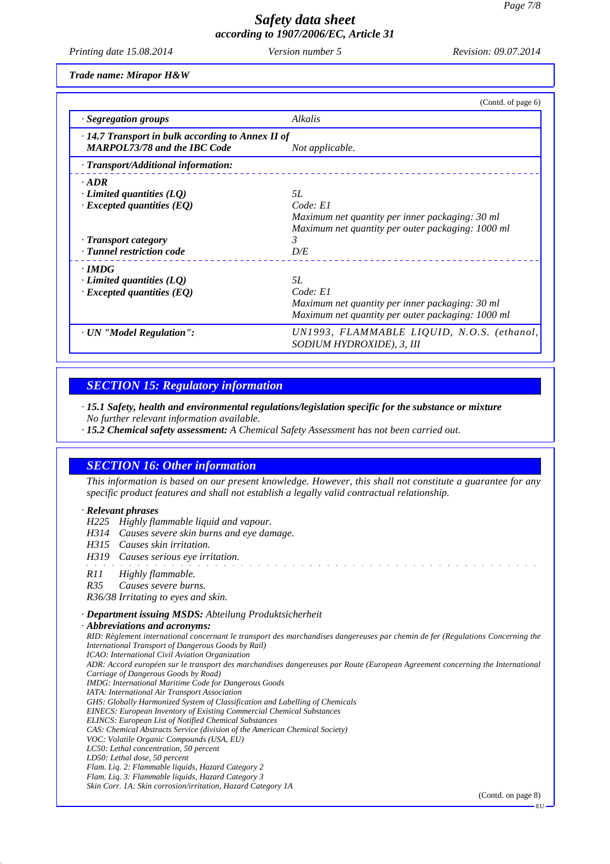*Printing date 15.08.2014 Version number 5 Revision: 09.07.2014*

*Trade name: Mirapor H&W*

|                                                                                                | (Contd. of page 6)                                                      |
|------------------------------------------------------------------------------------------------|-------------------------------------------------------------------------|
| · Segregation groups                                                                           | <b>Alkalis</b>                                                          |
| $\cdot$ 14.7 Transport in bulk according to Annex II of<br><b>MARPOL73/78 and the IBC Code</b> | Not applicable.                                                         |
| · Transport/Additional information:                                                            |                                                                         |
| $\cdot$ ADR                                                                                    |                                                                         |
| $\cdot$ Limited quantities (LQ)                                                                | 5L                                                                      |
| $\cdot$ Excepted quantities (EQ)                                                               | Code: El                                                                |
|                                                                                                | Maximum net quantity per inner packaging: 30 ml                         |
|                                                                                                | Maximum net quantity per outer packaging: 1000 ml                       |
| · Transport category                                                                           | 3                                                                       |
| · Tunnel restriction code                                                                      | D/E                                                                     |
| $\cdot$ IMDG                                                                                   |                                                                         |
| $\cdot$ Limited quantities (LQ)                                                                | .5L                                                                     |
| $\cdot$ Excepted quantities (EQ)                                                               | Code: El                                                                |
|                                                                                                | Maximum net quantity per inner packaging: 30 ml                         |
|                                                                                                | Maximum net quantity per outer packaging: 1000 ml                       |
| · UN "Model Regulation":                                                                       | UN1993, FLAMMABLE LIQUID, N.O.S. (ethanol,<br>SODIUM HYDROXIDE), 3, III |

#### *SECTION 15: Regulatory information*

*· 15.1 Safety, health and environmental regulations/legislation specific for the substance or mixture No further relevant information available.*

*· 15.2 Chemical safety assessment: A Chemical Safety Assessment has not been carried out.*

## *SECTION 16: Other information*

*This information is based on our present knowledge. However, this shall not constitute a guarantee for any specific product features and shall not establish a legally valid contractual relationship.*

and the state of the state of the state of the state of the state of the state of the state of the state of the

#### *· Relevant phrases*

- *H225 Highly flammable liquid and vapour.*
- *H314 Causes severe skin burns and eye damage.*
- *H315 Causes skin irritation.*
- *H319 Causes serious eye irritation.*
- *R11 Highly flammable.*
- *R35 Causes severe burns.*

*R36/38 Irritating to eyes and skin.*

#### *· Department issuing MSDS: Abteilung Produktsicherheit*

*· Abbreviations and acronyms: RID: Règlement international concernant le transport des marchandises dangereuses par chemin de fer (Regulations Concerning the International Transport of Dangerous Goods by Rail) ICAO: International Civil Aviation Organization ADR: Accord européen sur le transport des marchandises dangereuses par Route (European Agreement concerning the International Carriage of Dangerous Goods by Road) IMDG: International Maritime Code for Dangerous Goods IATA: International Air Transport Association GHS: Globally Harmonized System of Classification and Labelling of Chemicals EINECS: European Inventory of Existing Commercial Chemical Substances ELINCS: European List of Notified Chemical Substances CAS: Chemical Abstracts Service (division of the American Chemical Society) VOC: Volatile Organic Compounds (USA, EU) LC50: Lethal concentration, 50 percent LD50: Lethal dose, 50 percent Flam. Liq. 2: Flammable liquids, Hazard Category 2 Flam. Liq. 3: Flammable liquids, Hazard Category 3 Skin Corr. 1A: Skin corrosion/irritation, Hazard Category 1A* (Contd. on page 8)

EU